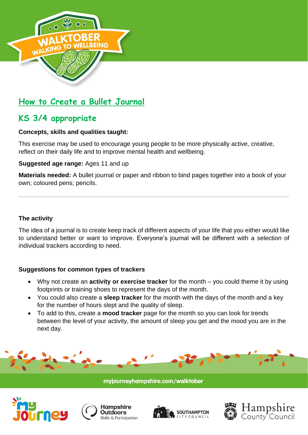

# **How to Create a Bullet Journal**

# **KS 3/4 appropriate**

## **Concepts, skills and qualities taught:**

This exercise may be used to encourage young people to be more physically active, creative, reflect on their daily life and to improve mental health and wellbeing.

**Suggested age range:** Ages 11 and up

**Materials needed:** A bullet journal or paper and ribbon to bind pages together into a book of your own; coloured pens; pencils.

## **The activity**

The idea of a journal is to create keep track of different aspects of your life that you either would like to understand better or want to improve. Everyone's journal will be different with a selection of individual trackers according to need.

## **Suggestions for common types of trackers**

- Why not create an **activity or exercise tracker** for the month you could theme it by using footprints or training shoes to represent the days of the month.
- You could also create a **sleep tracker** for the month with the days of the month and a key for the number of hours slept and the quality of sleep.
- To add to this, create a **mood tracker** page for the month so you can look for trends between the level of your activity, the amount of sleep you get and the mood you are in the next day.









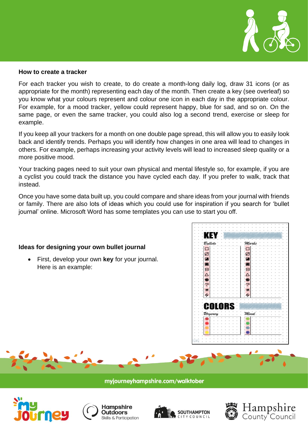

### **How to create a tracker**

For each tracker you wish to create, to do create a month-long daily log, draw 31 icons (or as appropriate for the month) representing each day of the month. Then create a key (see overleaf) so you know what your colours represent and colour one icon in each day in the appropriate colour. For example, for a mood tracker, yellow could represent happy, blue for sad, and so on. On the same page, or even the same tracker, you could also log a second trend, exercise or sleep for example.

If you keep all your trackers for a month on one double page spread, this will allow you to easily look back and identify trends. Perhaps you will identify how changes in one area will lead to changes in others. For example, perhaps increasing your activity levels will lead to increased sleep quality or a more positive mood.

Your tracking pages need to suit your own physical and mental lifestyle so, for example, if you are a cyclist you could track the distance you have cycled each day. If you prefer to walk, track that instead.

Once you have some data built up, you could compare and share ideas from your journal with friends or family. There are also lots of ideas which you could use for inspiration if you search for 'bullet journal' online. Microsoft Word has some templates you can use to start you off.

### **Ideas for designing your own bullet journal**

• First, develop your own **key** for your journal. Here is an example:











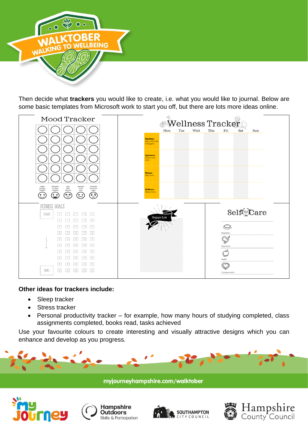

Then decide what **trackers** you would like to create, i.e. what you would like to journal. Below are some basic templates from Microsoft work to start you off, but there are lots more ideas online.

| Mood Tracker                                                                                                                                                                                                                                                                                                                                                                                                                 | <i> ≫</i> Wellness Tracker                        |            |                                                                                                                |            |
|------------------------------------------------------------------------------------------------------------------------------------------------------------------------------------------------------------------------------------------------------------------------------------------------------------------------------------------------------------------------------------------------------------------------------|---------------------------------------------------|------------|----------------------------------------------------------------------------------------------------------------|------------|
|                                                                                                                                                                                                                                                                                                                                                                                                                              | Mon                                               | Tue<br>Wed | Thu<br>Fri                                                                                                     | Sat<br>Sun |
|                                                                                                                                                                                                                                                                                                                                                                                                                              | <b>Nutrition:</b><br>Eat more fruits<br>& Veggies |            |                                                                                                                |            |
|                                                                                                                                                                                                                                                                                                                                                                                                                              | <b>Hydration:</b><br><b>Drink</b> more<br>H2O     |            |                                                                                                                |            |
|                                                                                                                                                                                                                                                                                                                                                                                                                              | <b>Fitness:</b><br>Play more                      |            |                                                                                                                |            |
| Energetic<br>Annoyed<br>Stressed<br>Happy<br>Relaxed<br>Lazy<br>Blah<br>Tired<br>Emotional<br>Focused<br>Just No<br>Content<br>Creative<br>Sick<br>Angry<br>$\left(\frac{1}{2}\right)$<br>⁄∙∘<br>$\bullet\bullet$<br>$\bullet\;\bullet$<br>$\bullet\hspace{1mm}\bullet\hspace{1mm}$                                                                                                                                          | <b>Wellness:</b><br>Sleep more                    |            |                                                                                                                |            |
| FITNESS GOALS<br>START<br>1<br>3<br>$-5$<br>$\overline{\mathbf{z}}$<br>$\sim$<br>10<br>- 6 - 1<br>9<br>$\overline{7}$<br>8<br>11<br>15<br>12<br>13<br>$\mathcal{H}$<br>$19\,$<br>20<br>16<br>17<br>18<br>22<br>23<br>24<br>25<br>21<br>30<br>26<br>$\eta$<br>${\mathcal{B}}$<br>28<br>35<br>32<br>33<br>34<br>31<br>40<br>39<br>36<br>37<br>38<br>45<br>43<br>$44$<br>41<br>42<br>GOAL<br>$47\,$<br>49<br>S0<br>$46\,$<br>48 | <b>Happy List</b>                                 |            | Č,<br>Relaxation<br>$\mathbb{C}^{\circ}$<br>كميب<br>Expression<br>$\int_0^{\infty}$<br>Health<br>Companionship | SelfgCare  |

## **Other ideas for trackers include:**

- Sleep tracker
- Stress tracker
- Personal productivity tracker for example, how many hours of studying completed, class assignments completed, books read, tasks achieved

Use your favourite colours to create interesting and visually attractive designs which you can enhance and develop as you progress.









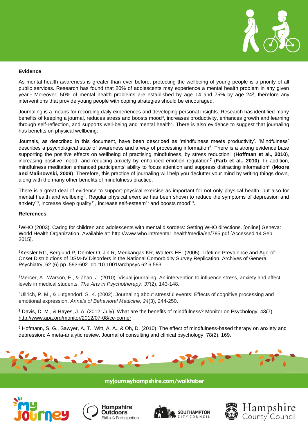

#### **Evidence**

As mental health awareness is greater than ever before, protecting the wellbeing of young people is a priority of all public services. Research has found that 20% of adolescents may experience a mental health problem in any given year.<sup>1</sup> Moreover, 50% of mental health problems are established by age 14 and 75% by age 24<sup>2</sup>, therefore any interventions that provide young people with coping strategies should be encouraged.

Journaling is a means for recording daily experiences and developing personal insights. Research has identified many benefits of keeping a journal, reduces stress and boosts mood<sup>3</sup>, increases productivity, enhances growth and learning through self-reflection, and supports well-being and mental health<sup>4</sup>. There is also evidence to suggest that journaling has benefits on physical wellbeing.

Journals, as described in this document, have been described as 'mindfulness meets productivity'. 'Mindfulness' describes a psychological state of awareness and a way of processing information<sup>5</sup>. There is a strong evidence base supporting the positive effects on wellbeing of practising mindfulness, by stress reduction<sup>6</sup> (Hoffman et al., 2010), increasing positive mood, and reducing anxiety by enhanced emotion regulation<sup>7</sup> (**Farb et al., 2010**). In addition, mindfulness meditation enhanced participants' ability to focus attention and suppress distracting information<sup>8</sup> (**Moore and Malinowski, 2009**). Therefore, this practice of journaling will help you declutter your mind by writing things down, along with the many other benefits of mindfulness practice.

There is a great deal of evidence to support physical exercise as important for not only physical health, but also for mental health and wellbeing<sup>9</sup>. Regular physical exercise has been shown to reduce the symptoms of depression and anxiety<sup>10</sup>, increase sleep quality<sup>11</sup>, increase self-esteem<sup>12</sup> and boosts mood<sup>13</sup>.

#### **References**

<sup>1</sup>WHO (2003). Caring for children and adolescents with mental disorders: Setting WHO directions. [online] Geneva: World Health Organization. Available at: [http://www.who.int/mental\\_health/media/en/785.pdf](http://www.who.int/mental_health/media/en/785.pdf) [Accessed 14 Sep. 2015].

<sup>2</sup>Kessler RC, Berglund P, Demler O, Jin R, Merikangas KR, Walters EE. (2005). Lifetime Prevalence and Age-of-Onset Distributions of DSM-IV Disorders in the National Comorbidity Survey Replication. Archives of General Psychiatry, 62 (6) pp. 593-602. doi:10.1001/archpsyc.62.6.593.

<sup>3</sup>Mercer, A., Warson, E., & Zhao, J. (2010). Visual journaling: An intervention to influence stress, anxiety and affect levels in medical students. *The Arts in Psychotherapy*, *37*(2), 143-148.

<sup>4</sup>Ullrich, P. M., & Lutgendorf, S. K. (2002). Journaling about stressful events: Effects of cognitive processing and emotional expression. *Annals of Behavioral Medicine*, *24*(3), 244-250.

<sup>5</sup> Davis, D. M., & Hayes, J. A. (2012, July). What are the benefits of mindfulness? Monitor on Psychology, 43(7). <http://www.apa.org/monitor/2012/07-08/ce-corner>

<sup>6</sup> Hofmann, S. G., Sawyer, A. T., Witt, A. A., & Oh, D. (2010). The effect of mindfulness-based therapy on anxiety and depression: A meta-analytic review. Journal of consulting and clinical psychology, 78(2), 169.